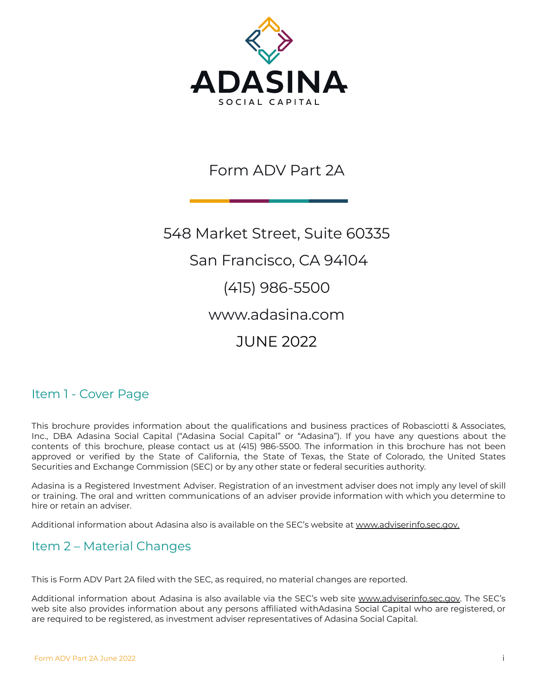

# Form ADV Part 2A

548 Market Street, Suite 60335 San Francisco, CA 94104 (415) 986-5500 www.adasina.com JUNE 2022

# Item 1 - Cover Page

This brochure provides information about the qualifications and business practices of Robasciotti & Associates, Inc., DBA Adasina Social Capital ("Adasina Social Capital" or "Adasina"). If you have any questions about the contents of this brochure, please contact us at (415) 986-5500. The information in this brochure has not been approved or verified by the State of California, the State of Texas, the State of Colorado, the United States Securities and Exchange Commission (SEC) or by any other state or federal securities authority.

Adasina is a Registered Investment Adviser. Registration of an investment adviser does not imply any level of skill or training. The oral and written communications of an adviser provide information with which you determine to hire or retain an adviser.

Additional information about Adasina also is available on the SEC's website at [www.adviserinfo.sec.gov.](http://www.adviserinfo.sec.gov)

# <span id="page-0-0"></span>Item 2 – Material Changes

This is Form ADV Part 2A filed with the SEC, as required, no material changes are reported.

Additional information about Adasina is also available via the SEC's web site [www.adviserinfo.sec.gov.](http://www.adviserinfo.sec.gov) The SEC's web site also provides information about any persons affiliated withAdasina Social Capital who are registered, or are required to be registered, as investment adviser representatives of Adasina Social Capital.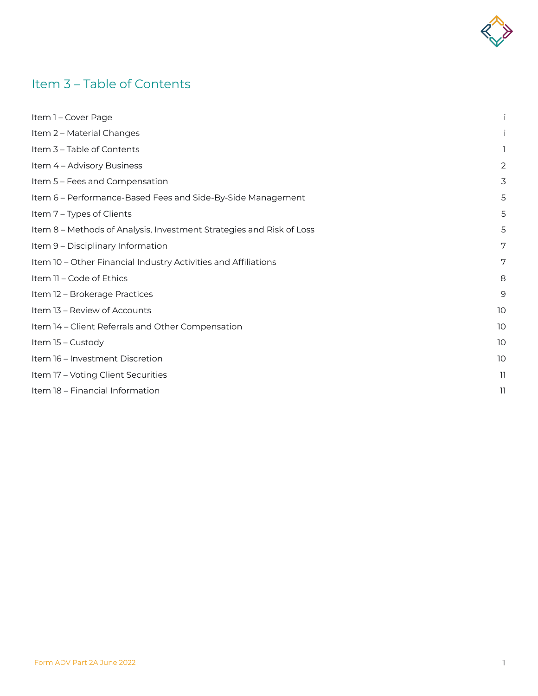

# <span id="page-1-0"></span>Item 3 – Table of Contents

| Item 1 - Cover Page                                                  |                 |
|----------------------------------------------------------------------|-----------------|
| Item 2 - Material Changes                                            |                 |
| Item 3 - Table of Contents                                           | 1               |
| Item 4 - Advisory Business                                           | 2               |
| Item 5 - Fees and Compensation                                       | 3               |
| Item 6 - Performance-Based Fees and Side-By-Side Management          | 5               |
| Item 7 - Types of Clients                                            | 5               |
| Item 8 - Methods of Analysis, Investment Strategies and Risk of Loss | 5               |
| Item 9 - Disciplinary Information                                    | 7               |
| Item 10 - Other Financial Industry Activities and Affiliations       | 7               |
| Item 11 - Code of Ethics                                             | 8               |
| Item 12 - Brokerage Practices                                        | 9               |
| Item 13 - Review of Accounts                                         | 10 <sup>°</sup> |
| Item 14 - Client Referrals and Other Compensation                    | 10 <sup>°</sup> |
| Item 15 - Custody                                                    | 10 <sup>°</sup> |
| Item 16 - Investment Discretion                                      | 10 <sup>°</sup> |
| Item 17 - Voting Client Securities                                   | 11.             |
| Item 18 - Financial Information                                      | 11              |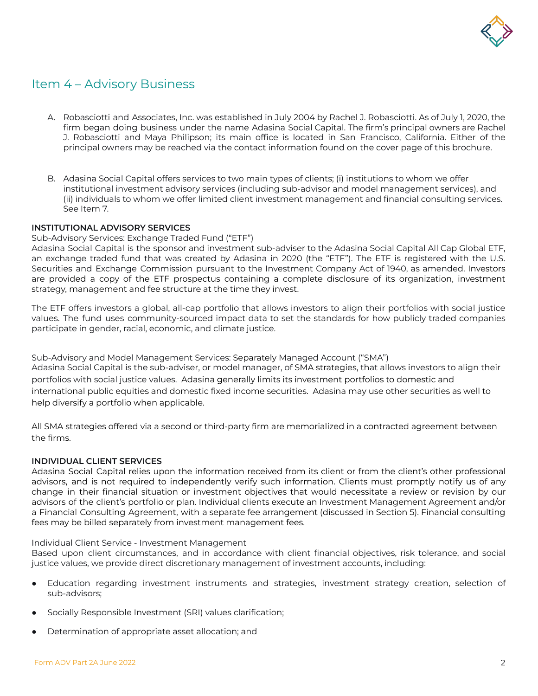

# Item 4 – Advisory Business

- A. Robasciotti and Associates, Inc. was established in July 2004 by Rachel J. Robasciotti. As of July 1, 2020, the firm began doing business under the name Adasina Social Capital. The firm's principal owners are Rachel J. Robasciotti and Maya Philipson; its main office is located in San Francisco, California. Either of the principal owners may be reached via the contact information found on the cover page of this brochure.
- B. Adasina Social Capital offers services to two main types of clients; (i) institutions to whom we offer institutional investment advisory services (including sub-advisor and model management services), and (ii) individuals to whom we offer limited client investment management and financial consulting services. See Item 7.

#### **INSTITUTIONAL ADVISORY SERVICES**

Sub-Advisory Services: Exchange Traded Fund ("ETF")

Adasina Social Capital is the sponsor and investment sub-adviser to the Adasina Social Capital All Cap Global ETF, an exchange traded fund that was created by Adasina in 2020 (the "ETF"). The ETF is registered with the U.S. Securities and Exchange Commission pursuant to the Investment Company Act of 1940, as amended. Investors are provided a copy of the ETF prospectus containing a complete disclosure of its organization, investment strategy, management and fee structure at the time they invest.

The ETF offers investors a global, all-cap portfolio that allows investors to align their portfolios with social justice values. The fund uses community-sourced impact data to set the standards for how publicly traded companies participate in gender, racial, economic, and climate justice.

Sub-Advisory and Model Management Services: Separately Managed Account ("SMA") Adasina Social Capital is the sub-adviser, or model manager, of SMA strategies, that allows investors to align their portfolios with social justice values. Adasina generally limits its investment portfolios to domestic and international public equities and domestic fixed income securities. Adasina may use other securities as well to help diversify a portfolio when applicable.

All SMA strategies offered via a second or third-party firm are memorialized in a contracted agreement between the firms.

#### **INDIVIDUAL CLIENT SERVICES**

Adasina Social Capital relies upon the information received from its client or from the client's other professional advisors, and is not required to independently verify such information. Clients must promptly notify us of any change in their financial situation or investment objectives that would necessitate a review or revision by our advisors of the client's portfolio or plan. Individual clients execute an Investment Management Agreement and/or a Financial Consulting Agreement, with a separate fee arrangement (discussed in Section 5). Financial consulting fees may be billed separately from investment management fees.

Individual Client Service - Investment Management

Based upon client circumstances, and in accordance with client financial objectives, risk tolerance, and social justice values, we provide direct discretionary management of investment accounts, including:

- Education regarding investment instruments and strategies, investment strategy creation, selection of sub-advisors;
- Socially Responsible Investment (SRI) values clarification;
- Determination of appropriate asset allocation; and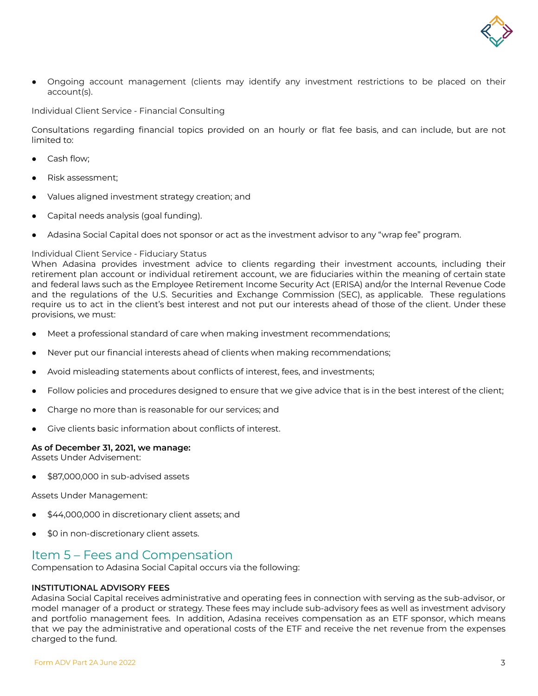

Ongoing account management (clients may identify any investment restrictions to be placed on their account(s).

Individual Client Service - Financial Consulting

Consultations regarding financial topics provided on an hourly or flat fee basis, and can include, but are not limited to:

- Cash flow;
- Risk assessment;
- Values aligned investment strategy creation; and
- Capital needs analysis (goal funding).
- Adasina Social Capital does not sponsor or act as the investment advisor to any "wrap fee" program.

#### Individual Client Service - Fiduciary Status

When Adasina provides investment advice to clients regarding their investment accounts, including their retirement plan account or individual retirement account, we are fiduciaries within the meaning of certain state and federal laws such as the Employee Retirement Income Security Act (ERISA) and/or the Internal Revenue Code and the regulations of the U.S. Securities and Exchange Commission (SEC), as applicable. These regulations require us to act in the client's best interest and not put our interests ahead of those of the client. Under these provisions, we must:

- Meet a professional standard of care when making investment recommendations;
- Never put our financial interests ahead of clients when making recommendations;
- Avoid misleading statements about conflicts of interest, fees, and investments;
- Follow policies and procedures designed to ensure that we give advice that is in the best interest of the client;
- Charge no more than is reasonable for our services; and
- Give clients basic information about conflicts of interest.

#### **As of December 31, 2021, we manage:**

Assets Under Advisement:

\$87,000,000 in sub-advised assets

Assets Under Management:

- \$44,000,000 in discretionary client assets; and
- \$0 in non-discretionary client assets.

### Item 5 – Fees and Compensation

Compensation to Adasina Social Capital occurs via the following:

#### **INSTITUTIONAL ADVISORY FEES**

Adasina Social Capital receives administrative and operating fees in connection with serving as the sub-advisor, or model manager of a product or strategy. These fees may include sub-advisory fees as well as investment advisory and portfolio management fees. In addition, Adasina receives compensation as an ETF sponsor, which means that we pay the administrative and operational costs of the ETF and receive the net revenue from the expenses charged to the fund.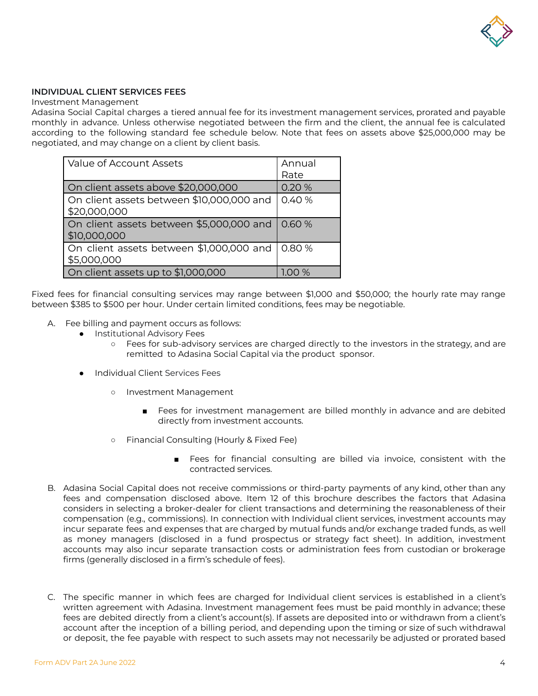

#### **INDIVIDUAL CLIENT SERVICES FEES**

Investment Management

Adasina Social Capital charges a tiered annual fee for its investment management services, prorated and payable monthly in advance. Unless otherwise negotiated between the firm and the client, the annual fee is calculated according to the following standard fee schedule below. Note that fees on assets above \$25,000,000 may be negotiated, and may change on a client by client basis.

| Value of Account Assets                                   | Annual<br>Rate |
|-----------------------------------------------------------|----------------|
| On client assets above \$20,000,000                       | 0.20 %         |
| On client assets between \$10,000,000 and<br>\$20,000,000 | 0.40 %         |
| On client assets between \$5,000,000 and<br>\$10,000,000  | 0.60%          |
| On client assets between \$1,000,000 and<br>\$5,000,000   | 0.80%          |
| On client assets up to \$1,000,000                        | $\%$           |

Fixed fees for financial consulting services may range between \$1,000 and \$50,000; the hourly rate may range between \$385 to \$500 per hour. Under certain limited conditions, fees may be negotiable.

- A. Fee billing and payment occurs as follows:
	- Institutional Advisory Fees
		- **○** Fees for sub-advisory services are charged directly to the investors in the strategy, and are remitted to Adasina Social Capital via the product sponsor.
	- **●** Individual Client Services Fees
		- **○** Investment Management
			- **■** Fees for investment management are billed monthly in advance and are debited directly from investment accounts.
		- **○** Financial Consulting (Hourly & Fixed Fee)
			- **■** Fees for financial consulting are billed via invoice, consistent with the contracted services.
- B. Adasina Social Capital does not receive commissions or third-party payments of any kind, other than any fees and compensation disclosed above. Item 12 of this brochure describes the factors that Adasina considers in selecting a broker-dealer for client transactions and determining the reasonableness of their compensation (e.g., commissions). In connection with Individual client services, investment accounts may incur separate fees and expenses that are charged by mutual funds and/or exchange traded funds, as well as money managers (disclosed in a fund prospectus or strategy fact sheet). In addition, investment accounts may also incur separate transaction costs or administration fees from custodian or brokerage firms (generally disclosed in a firm's schedule of fees).
- C. The specific manner in which fees are charged for Individual client services is established in a client's written agreement with Adasina. Investment management fees must be paid monthly in advance; these fees are debited directly from a client's account(s). If assets are deposited into or withdrawn from a client's account after the inception of a billing period, and depending upon the timing or size of such withdrawal or deposit, the fee payable with respect to such assets may not necessarily be adjusted or prorated based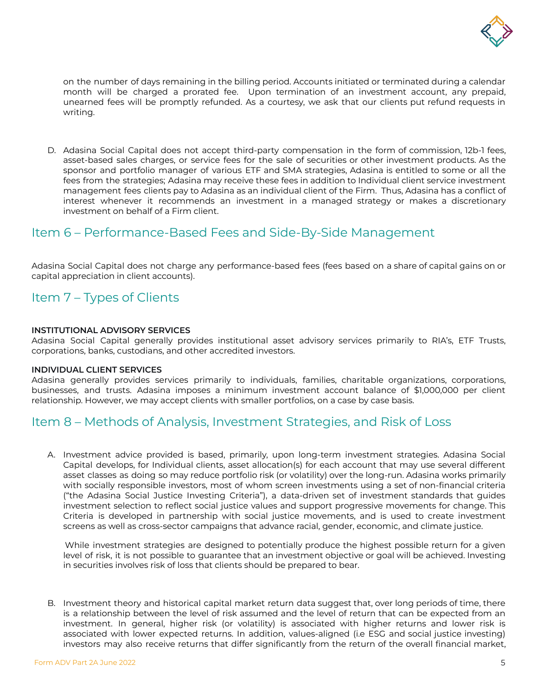

on the number of days remaining in the billing period. Accounts initiated or terminated during a calendar month will be charged a prorated fee. Upon termination of an investment account, any prepaid, unearned fees will be promptly refunded. As a courtesy, we ask that our clients put refund requests in writing.

D. Adasina Social Capital does not accept third-party compensation in the form of commission, 12b-1 fees, asset-based sales charges, or service fees for the sale of securities or other investment products. As the sponsor and portfolio manager of various ETF and SMA strategies, Adasina is entitled to some or all the fees from the strategies; Adasina may receive these fees in addition to Individual client service investment management fees clients pay to Adasina as an individual client of the Firm. Thus, Adasina has a conflict of interest whenever it recommends an investment in a managed strategy or makes a discretionary investment on behalf of a Firm client.

### <span id="page-5-0"></span>Item 6 – Performance-Based Fees and Side-By-Side Management

Adasina Social Capital does not charge any performance-based fees (fees based on a share of capital gains on or capital appreciation in client accounts).

## <span id="page-5-1"></span>Item 7 – Types of Clients

#### **INSTITUTIONAL ADVISORY SERVICES**

Adasina Social Capital generally provides institutional asset advisory services primarily to RIA's, ETF Trusts, corporations, banks, custodians, and other accredited investors.

#### **INDIVIDUAL CLIENT SERVICES**

Adasina generally provides services primarily to individuals, families, charitable organizations, corporations, businesses, and trusts. Adasina imposes a minimum investment account balance of \$1,000,000 per client relationship. However, we may accept clients with smaller portfolios, on a case by case basis.

### <span id="page-5-2"></span>Item 8 – Methods of Analysis, Investment Strategies, and Risk of Loss

A. Investment advice provided is based, primarily, upon long-term investment strategies. Adasina Social Capital develops, for Individual clients, asset allocation(s) for each account that may use several different asset classes as doing so may reduce portfolio risk (or volatility) over the long-run. Adasina works primarily with socially responsible investors, most of whom screen investments using a set of non-financial criteria ("the Adasina Social Justice Investing Criteria"), a data-driven set of investment standards that guides investment selection to reflect social justice values and support progressive movements for change. This Criteria is developed in partnership with social justice movements, and is used to create investment screens as well as cross-sector campaigns that advance racial, gender, economic, and climate justice.

While investment strategies are designed to potentially produce the highest possible return for a given level of risk, it is not possible to guarantee that an investment objective or goal will be achieved. Investing in securities involves risk of loss that clients should be prepared to bear.

B. Investment theory and historical capital market return data suggest that, over long periods of time, there is a relationship between the level of risk assumed and the level of return that can be expected from an investment. In general, higher risk (or volatility) is associated with higher returns and lower risk is associated with lower expected returns. In addition, values-aligned (i.e ESG and social justice investing) investors may also receive returns that differ significantly from the return of the overall financial market,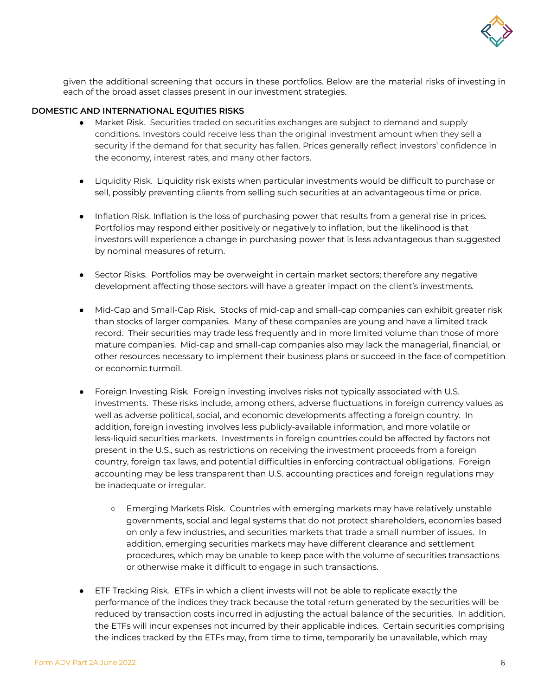

given the additional screening that occurs in these portfolios. Below are the material risks of investing in each of the broad asset classes present in our investment strategies.

#### **DOMESTIC AND INTERNATIONAL EQUITIES RISKS**

- Market Risk. Securities traded on securities exchanges are subject to demand and supply conditions. Investors could receive less than the original investment amount when they sell a security if the demand for that security has fallen. Prices generally reflect investors' confidence in the economy, interest rates, and many other factors.
- Liquidity Risk. Liquidity risk exists when particular investments would be difficult to purchase or sell, possibly preventing clients from selling such securities at an advantageous time or price.
- Inflation Risk. Inflation is the loss of purchasing power that results from a general rise in prices. Portfolios may respond either positively or negatively to inflation, but the likelihood is that investors will experience a change in purchasing power that is less advantageous than suggested by nominal measures of return.
- Sector Risks. Portfolios may be overweight in certain market sectors; therefore any negative development affecting those sectors will have a greater impact on the client's investments.
- Mid-Cap and Small-Cap Risk. Stocks of mid-cap and small-cap companies can exhibit greater risk than stocks of larger companies. Many of these companies are young and have a limited track record. Their securities may trade less frequently and in more limited volume than those of more mature companies. Mid-cap and small-cap companies also may lack the managerial, financial, or other resources necessary to implement their business plans or succeed in the face of competition or economic turmoil.
- Foreign Investing Risk*.* Foreign investing involves risks not typically associated with U.S. investments. These risks include, among others, adverse fluctuations in foreign currency values as well as adverse political, social, and economic developments affecting a foreign country. In addition, foreign investing involves less publicly-available information, and more volatile or less-liquid securities markets. Investments in foreign countries could be affected by factors not present in the U.S., such as restrictions on receiving the investment proceeds from a foreign country, foreign tax laws, and potential difficulties in enforcing contractual obligations. Foreign accounting may be less transparent than U.S. accounting practices and foreign regulations may be inadequate or irregular.
	- Emerging Markets Risk. Countries with emerging markets may have relatively unstable governments, social and legal systems that do not protect shareholders, economies based on only a few industries, and securities markets that trade a small number of issues. In addition, emerging securities markets may have different clearance and settlement procedures, which may be unable to keep pace with the volume of securities transactions or otherwise make it difficult to engage in such transactions.
- ETF Tracking Risk. ETFs in which a client invests will not be able to replicate exactly the performance of the indices they track because the total return generated by the securities will be reduced by transaction costs incurred in adjusting the actual balance of the securities. In addition, the ETFs will incur expenses not incurred by their applicable indices. Certain securities comprising the indices tracked by the ETFs may, from time to time, temporarily be unavailable, which may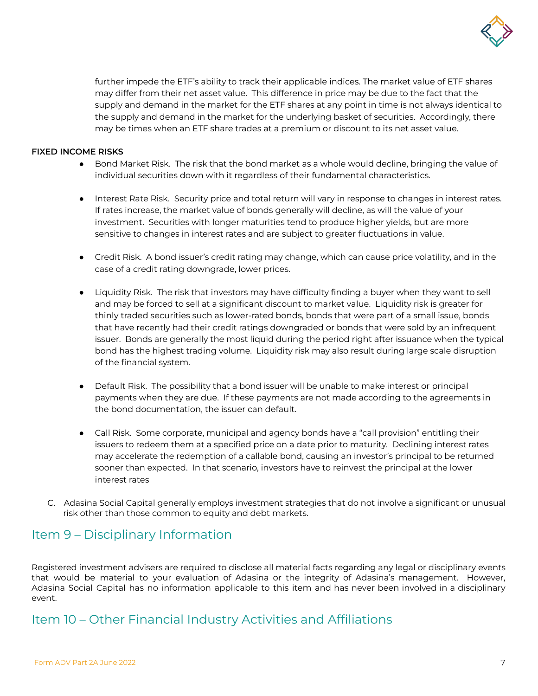

further impede the ETF's ability to track their applicable indices. The market value of ETF shares may differ from their net asset value. This difference in price may be due to the fact that the supply and demand in the market for the ETF shares at any point in time is not always identical to the supply and demand in the market for the underlying basket of securities. Accordingly, there may be times when an ETF share trades at a premium or discount to its net asset value.

#### **FIXED INCOME RISKS**

- Bond Market Risk. The risk that the bond market as a whole would decline, bringing the value of individual securities down with it regardless of their fundamental characteristics.
- Interest Rate Risk. Security price and total return will vary in response to changes in interest rates. If rates increase, the market value of bonds generally will decline, as will the value of your investment. Securities with longer maturities tend to produce higher yields, but are more sensitive to changes in interest rates and are subject to greater fluctuations in value.
- Credit Risk. A bond issuer's credit rating may change, which can cause price volatility, and in the case of a credit rating downgrade, lower prices.
- Liquidity Risk*.* The risk that investors may have difficulty finding a buyer when they want to sell and may be forced to sell at a significant discount to market value. Liquidity risk is greater for thinly traded securities such as lower-rated bonds, bonds that were part of a small issue, bonds that have recently had their credit ratings downgraded or bonds that were sold by an infrequent issuer. Bonds are generally the most liquid during the period right after issuance when the typical bond has the highest trading volume. Liquidity risk may also result during large scale disruption of the financial system.
- Default Risk. The possibility that a bond issuer will be unable to make interest or principal payments when they are due. If these payments are not made according to the agreements in the bond documentation, the issuer can default.
- Call Risk. Some corporate, municipal and agency bonds have a "call provision" entitling their issuers to redeem them at a specified price on a date prior to maturity. Declining interest rates may accelerate the redemption of a callable bond, causing an investor's principal to be returned sooner than expected. In that scenario, investors have to reinvest the principal at the lower interest rates
- C. Adasina Social Capital generally employs investment strategies that do not involve a significant or unusual risk other than those common to equity and debt markets.

### <span id="page-7-0"></span>Item 9 – Disciplinary Information

Registered investment advisers are required to disclose all material facts regarding any legal or disciplinary events that would be material to your evaluation of Adasina or the integrity of Adasina's management. However, Adasina Social Capital has no information applicable to this item and has never been involved in a disciplinary event.

# Item 10 – Other Financial Industry Activities and Affiliations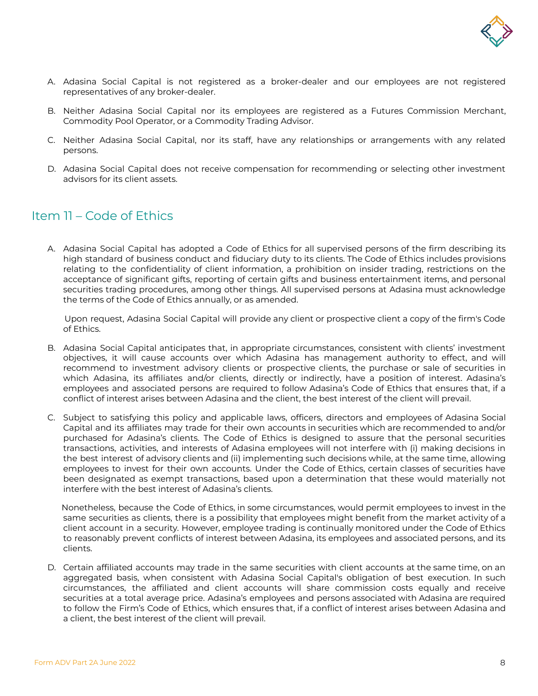

- A. Adasina Social Capital is not registered as a broker-dealer and our employees are not registered representatives of any broker-dealer.
- B. Neither Adasina Social Capital nor its employees are registered as a Futures Commission Merchant, Commodity Pool Operator, or a Commodity Trading Advisor.
- C. Neither Adasina Social Capital, nor its staff, have any relationships or arrangements with any related persons.
- D. Adasina Social Capital does not receive compensation for recommending or selecting other investment advisors for its client assets.

# Item 11 – Code of Ethics

A. Adasina Social Capital has adopted a Code of Ethics for all supervised persons of the firm describing its high standard of business conduct and fiduciary duty to its clients. The Code of Ethics includes provisions relating to the confidentiality of client information, a prohibition on insider trading, restrictions on the acceptance of significant gifts, reporting of certain gifts and business entertainment items, and personal securities trading procedures, among other things. All supervised persons at Adasina must acknowledge the terms of the Code of Ethics annually, or as amended.

Upon request, Adasina Social Capital will provide any client or prospective client a copy of the firm's Code of Ethics.

- B. Adasina Social Capital anticipates that, in appropriate circumstances, consistent with clients' investment objectives, it will cause accounts over which Adasina has management authority to effect, and will recommend to investment advisory clients or prospective clients, the purchase or sale of securities in which Adasina, its affiliates and/or clients, directly or indirectly, have a position of interest. Adasina's employees and associated persons are required to follow Adasina's Code of Ethics that ensures that, if a conflict of interest arises between Adasina and the client, the best interest of the client will prevail.
- C. Subject to satisfying this policy and applicable laws, officers, directors and employees of Adasina Social Capital and its affiliates may trade for their own accounts in securities which are recommended to and/or purchased for Adasina's clients. The Code of Ethics is designed to assure that the personal securities transactions, activities, and interests of Adasina employees will not interfere with (i) making decisions in the best interest of advisory clients and (ii) implementing such decisions while, at the same time, allowing employees to invest for their own accounts. Under the Code of Ethics, certain classes of securities have been designated as exempt transactions, based upon a determination that these would materially not interfere with the best interest of Adasina's clients.

Nonetheless, because the Code of Ethics, in some circumstances, would permit employees to invest in the same securities as clients, there is a possibility that employees might benefit from the market activity of a client account in a security. However, employee trading is continually monitored under the Code of Ethics to reasonably prevent conflicts of interest between Adasina, its employees and associated persons, and its clients.

D. Certain affiliated accounts may trade in the same securities with client accounts at the same time, on an aggregated basis, when consistent with Adasina Social Capital's obligation of best execution. In such circumstances, the affiliated and client accounts will share commission costs equally and receive securities at a total average price. Adasina's employees and persons associated with Adasina are required to follow the Firm's Code of Ethics, which ensures that, if a conflict of interest arises between Adasina and a client, the best interest of the client will prevail.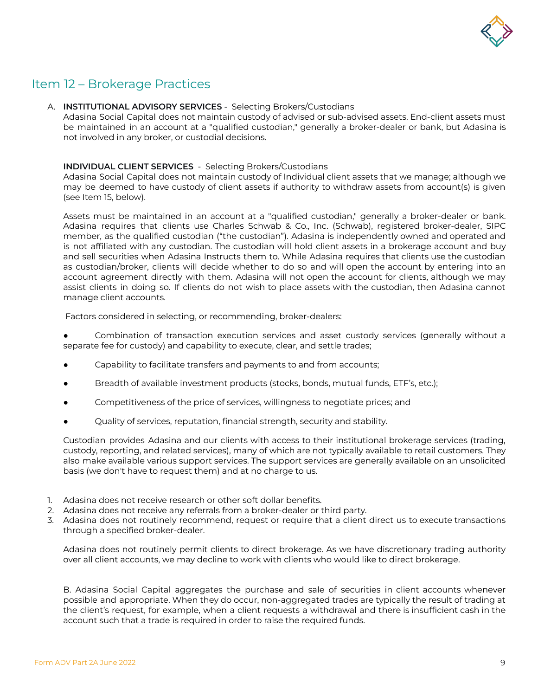

# <span id="page-9-0"></span>Item 12 – Brokerage Practices

#### A. **INSTITUTIONAL ADVISORY SERVICES** - Selecting Brokers/Custodians

Adasina Social Capital does not maintain custody of advised or sub-advised assets. End-client assets must be maintained in an account at a "qualified custodian," generally a broker-dealer or bank, but Adasina is not involved in any broker, or custodial decisions.

#### **INDIVIDUAL CLIENT SERVICES** - Selecting Brokers/Custodians

Adasina Social Capital does not maintain custody of Individual client assets that we manage; although we may be deemed to have custody of client assets if authority to withdraw assets from account(s) is given (see Item 15, below).

Assets must be maintained in an account at a "qualified custodian," generally a broker-dealer or bank. Adasina requires that clients use Charles Schwab & Co., Inc. (Schwab), registered broker-dealer, SIPC member, as the qualified custodian ("the custodian"). Adasina is independently owned and operated and is not affiliated with any custodian. The custodian will hold client assets in a brokerage account and buy and sell securities when Adasina Instructs them to. While Adasina requires that clients use the custodian as custodian/broker, clients will decide whether to do so and will open the account by entering into an account agreement directly with them. Adasina will not open the account for clients, although we may assist clients in doing so. If clients do not wish to place assets with the custodian, then Adasina cannot manage client accounts.

Factors considered in selecting, or recommending, broker-dealers:

Combination of transaction execution services and asset custody services (generally without a separate fee for custody) and capability to execute, clear, and settle trades;

- Capability to facilitate transfers and payments to and from accounts;
- Breadth of available investment products (stocks, bonds, mutual funds, ETF's, etc.);
- Competitiveness of the price of services, willingness to negotiate prices; and
- Quality of services, reputation, financial strength, security and stability.

Custodian provides Adasina and our clients with access to their institutional brokerage services (trading, custody, reporting, and related services), many of which are not typically available to retail customers. They also make available various support services. The support services are generally available on an unsolicited basis (we don't have to request them) and at no charge to us.

- 1. Adasina does not receive research or other soft dollar benefits.
- 2. Adasina does not receive any referrals from a broker-dealer or third party.
- 3. Adasina does not routinely recommend, request or require that a client direct us to execute transactions through a specified broker-dealer.

Adasina does not routinely permit clients to direct brokerage. As we have discretionary trading authority over all client accounts, we may decline to work with clients who would like to direct brokerage.

B. Adasina Social Capital aggregates the purchase and sale of securities in client accounts whenever possible and appropriate. When they do occur, non-aggregated trades are typically the result of trading at the client's request, for example, when a client requests a withdrawal and there is insufficient cash in the account such that a trade is required in order to raise the required funds.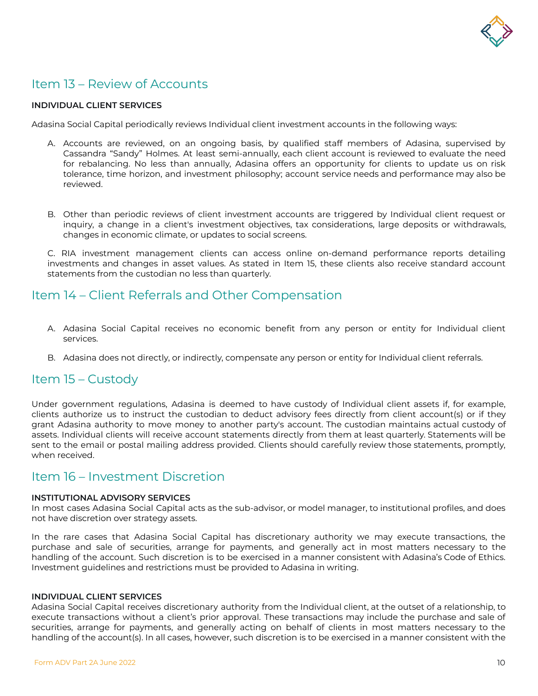

# <span id="page-10-0"></span>Item 13 – Review of Accounts

#### **INDIVIDUAL CLIENT SERVICES**

Adasina Social Capital periodically reviews Individual client investment accounts in the following ways:

- A. Accounts are reviewed, on an ongoing basis, by qualified staff members of Adasina, supervised by Cassandra "Sandy" Holmes. At least semi-annually, each client account is reviewed to evaluate the need for rebalancing. No less than annually, Adasina offers an opportunity for clients to update us on risk tolerance, time horizon, and investment philosophy; account service needs and performance may also be reviewed.
- B. Other than periodic reviews of client investment accounts are triggered by Individual client request or inquiry, a change in a client's investment objectives, tax considerations, large deposits or withdrawals, changes in economic climate, or updates to social screens.

C. RIA investment management clients can access online on-demand performance reports detailing investments and changes in asset values. As stated in Item 15, these clients also receive standard account statements from the custodian no less than quarterly.

### <span id="page-10-1"></span>Item 14 – Client Referrals and Other Compensation

- A. Adasina Social Capital receives no economic benefit from any person or entity for Individual client services.
- B. Adasina does not directly, or indirectly, compensate any person or entity for Individual client referrals.

### <span id="page-10-2"></span>Item 15 – Custody

Under government regulations, Adasina is deemed to have custody of Individual client assets if, for example, clients authorize us to instruct the custodian to deduct advisory fees directly from client account(s) or if they grant Adasina authority to move money to another party's account. The custodian maintains actual custody of assets. Individual clients will receive account statements directly from them at least quarterly. Statements will be sent to the email or postal mailing address provided. Clients should carefully review those statements, promptly, when received.

### Item 16 – Investment Discretion

#### **INSTITUTIONAL ADVISORY SERVICES**

In most cases Adasina Social Capital acts as the sub-advisor, or model manager, to institutional profiles, and does not have discretion over strategy assets.

In the rare cases that Adasina Social Capital has discretionary authority we may execute transactions, the purchase and sale of securities, arrange for payments, and generally act in most matters necessary to the handling of the account. Such discretion is to be exercised in a manner consistent with Adasina's Code of Ethics. Investment guidelines and restrictions must be provided to Adasina in writing.

#### **INDIVIDUAL CLIENT SERVICES**

Adasina Social Capital receives discretionary authority from the Individual client, at the outset of a relationship, to execute transactions without a client's prior approval. These transactions may include the purchase and sale of securities, arrange for payments, and generally acting on behalf of clients in most matters necessary to the handling of the account(s). In all cases, however, such discretion is to be exercised in a manner consistent with the